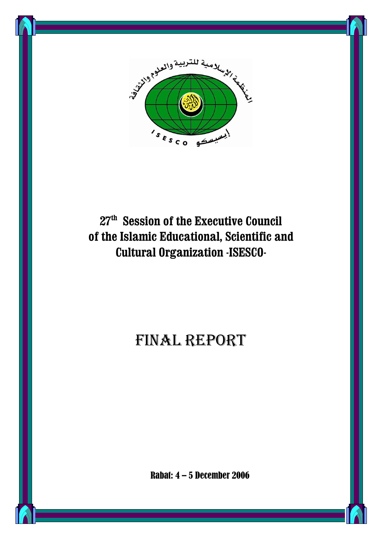

# **27th Session of the Executive Council of the Islamic Educational, Scientific and Cultural Organization -ISESCO-**

# FINAL REPORT

Rabat: 4 – 5 December 2006

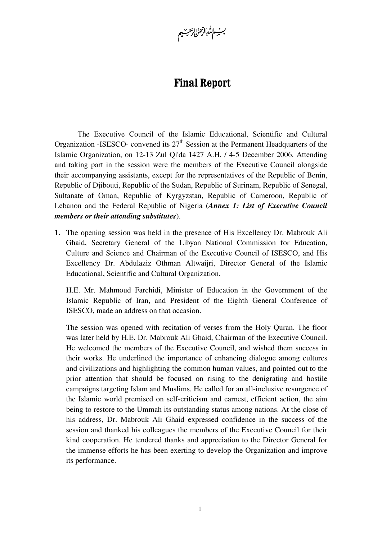بث ال*تْدِالرحمٰ* الرحيبيم

## **Final Report**

The Executive Council of the Islamic Educational, Scientific and Cultural Organization -ISESCO- convened its  $27<sup>th</sup>$  Session at the Permanent Headquarters of the Islamic Organization, on 12-13 Zul Qi'da 1427 A.H. / 4-5 December 2006. Attending and taking part in the session were the members of the Executive Council alongside their accompanying assistants, except for the representatives of the Republic of Benin, Republic of Djibouti, Republic of the Sudan, Republic of Surinam, Republic of Senegal, Sultanate of Oman, Republic of Kyrgyzstan, Republic of Cameroon, Republic of Lebanon and the Federal Republic of Nigeria (*Annex 1: List of Executive Council members or their attending substitutes*).

**1.** The opening session was held in the presence of His Excellency Dr. Mabrouk Ali Ghaid, Secretary General of the Libyan National Commission for Education, Culture and Science and Chairman of the Executive Council of ISESCO, and His Excellency Dr. Abdulaziz Othman Altwaijri, Director General of the Islamic Educational, Scientific and Cultural Organization.

H.E. Mr. Mahmoud Farchidi, Minister of Education in the Government of the Islamic Republic of Iran, and President of the Eighth General Conference of ISESCO, made an address on that occasion.

The session was opened with recitation of verses from the Holy Quran. The floor was later held by H.E. Dr. Mabrouk Ali Ghaid, Chairman of the Executive Council. He welcomed the members of the Executive Council, and wished them success in their works. He underlined the importance of enhancing dialogue among cultures and civilizations and highlighting the common human values, and pointed out to the prior attention that should be focused on rising to the denigrating and hostile campaigns targeting Islam and Muslims. He called for an all-inclusive resurgence of the Islamic world premised on self-criticism and earnest, efficient action, the aim being to restore to the Ummah its outstanding status among nations. At the close of his address, Dr. Mabrouk Ali Ghaid expressed confidence in the success of the session and thanked his colleagues the members of the Executive Council for their kind cooperation. He tendered thanks and appreciation to the Director General for the immense efforts he has been exerting to develop the Organization and improve its performance.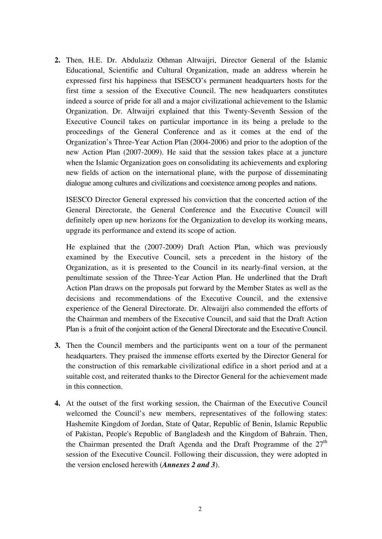**2.** Then, H.E. Dr. Abdulaziz Othman Altwaijri, Director General of the Islamic Educational, Scientific and Cultural Organization, made an address wherein he expressed first his happiness that ISESCO's permanent headquarters hosts for the first time a session of the Executive Council. The new headquarters constitutes indeed a source of pride for all and a major civilizational achievement to the Islamic Organization. Dr. Altwaijri explained that this Twenty-Seventh Session of the Executive Council takes on particular importance in its being a prelude to the proceedings of the General Conference and as it comes at the end of the Organization's Three-Year Action Plan (2004-2006) and prior to the adoption of the new Action Plan (2007-2009). He said that the session takes place at a juncture when the Islamic Organization goes on consolidating its achievements and exploring new fields of action on the international plane, with the purpose of disseminating dialogue among cultures and civilizations and coexistence among peoples and nations.

ISESCO Director General expressed his conviction that the concerted action of the General Directorate, the General Conference and the Executive Council will definitely open up new horizons for the Organization to develop its working means, upgrade its performance and extend its scope of action.

He explained that the (2007-2009) Draft Action Plan, which was previously examined by the Executive Council, sets a precedent in the history of the Organization, as it is presented to the Council in its nearly-final version, at the penultimate session of the Three-Year Action Plan. He underlined that the Draft Action Plan draws on the proposals put forward by the Member States as well as the decisions and recommendations of the Executive Council, and the extensive experience of the General Directorate. Dr. Altwaijri also commended the efforts of the Chairman and members of the Executive Council, and said that the Draft Action Plan is a fruit of the conjoint action of the General Directorate and the Executive Council.

- **3.** Then the Council members and the participants went on a tour of the permanent headquarters. They praised the immense efforts exerted by the Director General for the construction of this remarkable civilizational edifice in a short period and at a suitable cost, and reiterated thanks to the Director General for the achievement made in this connection.
- **4.** At the outset of the first working session, the Chairman of the Executive Council welcomed the Council's new members, representatives of the following states: Hashemite Kingdom of Jordan, State of Qatar, Republic of Benin, Islamic Republic of Pakistan, People's Republic of Bangladesh and the Kingdom of Bahrain. Then, the Chairman presented the Draft Agenda and the Draft Programme of the  $27<sup>th</sup>$ session of the Executive Council. Following their discussion, they were adopted in the version enclosed herewith (*Annexes 2 and 3*).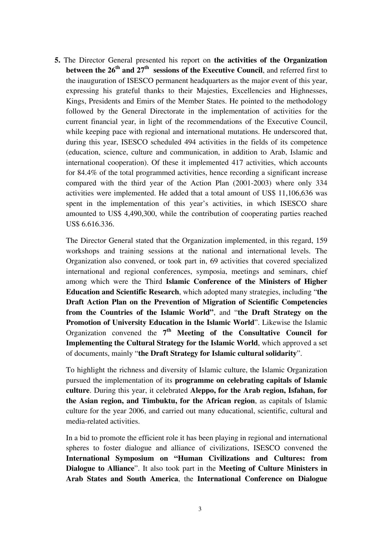**5.** The Director General presented his report on **the activities of the Organization between the 26<sup>th</sup> and 27<sup>th</sup> sessions of the Executive Council, and referred first to** the inauguration of ISESCO permanent headquarters as the major event of this year, expressing his grateful thanks to their Majesties, Excellencies and Highnesses, Kings, Presidents and Emirs of the Member States. He pointed to the methodology followed by the General Directorate in the implementation of activities for the current financial year, in light of the recommendations of the Executive Council, while keeping pace with regional and international mutations. He underscored that, during this year, ISESCO scheduled 494 activities in the fields of its competence (education, science, culture and communication, in addition to Arab, Islamic and international cooperation). Of these it implemented 417 activities, which accounts for 84.4% of the total programmed activities, hence recording a significant increase compared with the third year of the Action Plan (2001-2003) where only 334 activities were implemented. He added that a total amount of US\$ 11,106,636 was spent in the implementation of this year's activities, in which ISESCO share amounted to US\$ 4,490,300, while the contribution of cooperating parties reached US\$ 6.616.336.

The Director General stated that the Organization implemented, in this regard, 159 workshops and training sessions at the national and international levels. The Organization also convened, or took part in, 69 activities that covered specialized international and regional conferences, symposia, meetings and seminars, chief among which were the Third **Islamic Conference of the Ministers of Higher Education and Scientific Research**, which adopted many strategies, including "**the Draft Action Plan on the Prevention of Migration of Scientific Competencies from the Countries of the Islamic World"**, and "**the Draft Strategy on the Promotion of University Education in the Islamic World**". Likewise the Islamic Organization convened the **7th Meeting of the Consultative Council for Implementing the Cultural Strategy for the Islamic World**, which approved a set of documents, mainly "**the Draft Strategy for Islamic cultural solidarity**".

To highlight the richness and diversity of Islamic culture, the Islamic Organization pursued the implementation of its **programme on celebrating capitals of Islamic culture**. During this year, it celebrated **Aleppo, for the Arab region, Isfahan, for the Asian region, and Timbuktu, for the African region**, as capitals of Islamic culture for the year 2006, and carried out many educational, scientific, cultural and media-related activities.

In a bid to promote the efficient role it has been playing in regional and international spheres to foster dialogue and alliance of civilizations, ISESCO convened the **International Symposium on "Human Civilizations and Cultures: from Dialogue to Alliance**". It also took part in the **Meeting of Culture Ministers in Arab States and South America**, the **International Conference on Dialogue**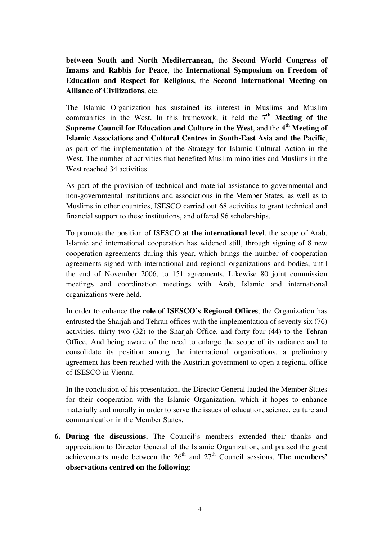**between South and North Mediterranean**, the **Second World Congress of Imams and Rabbis for Peace**, the **International Symposium on Freedom of Education and Respect for Religions**, the **Second International Meeting on Alliance of Civilizations**, etc.

The Islamic Organization has sustained its interest in Muslims and Muslim communities in the West. In this framework, it held the  $7<sup>th</sup>$  Meeting of the **Supreme Council for Education and Culture in the West**, and the **4 th Meeting of Islamic Associations and Cultural Centres in South-East Asia and the Pacific**, as part of the implementation of the Strategy for Islamic Cultural Action in the West. The number of activities that benefited Muslim minorities and Muslims in the West reached 34 activities.

As part of the provision of technical and material assistance to governmental and non-governmental institutions and associations in the Member States, as well as to Muslims in other countries, ISESCO carried out 68 activities to grant technical and financial support to these institutions, and offered 96 scholarships.

To promote the position of ISESCO **at the international level**, the scope of Arab, Islamic and international cooperation has widened still, through signing of 8 new cooperation agreements during this year, which brings the number of cooperation agreements signed with international and regional organizations and bodies, until the end of November 2006, to 151 agreements. Likewise 80 joint commission meetings and coordination meetings with Arab, Islamic and international organizations were held.

In order to enhance **the role of ISESCO's Regional Offices**, the Organization has entrusted the Sharjah and Tehran offices with the implementation of seventy six (76) activities, thirty two (32) to the Sharjah Office, and forty four (44) to the Tehran Office. And being aware of the need to enlarge the scope of its radiance and to consolidate its position among the international organizations, a preliminary agreement has been reached with the Austrian government to open a regional office of ISESCO in Vienna.

In the conclusion of his presentation, the Director General lauded the Member States for their cooperation with the Islamic Organization, which it hopes to enhance materially and morally in order to serve the issues of education, science, culture and communication in the Member States.

**6. During the discussions**, The Council's members extended their thanks and appreciation to Director General of the Islamic Organization, and praised the great achievements made between the  $26<sup>th</sup>$  and  $27<sup>th</sup>$  Council sessions. **The members' observations centred on the following**: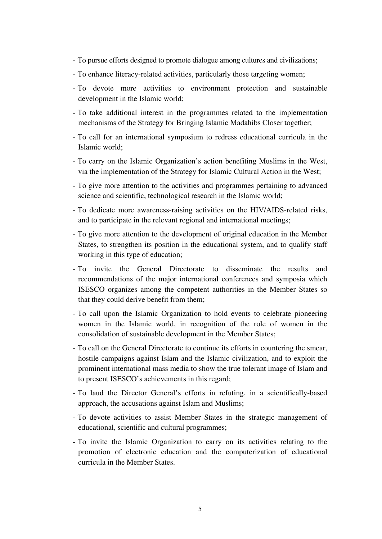- To pursue efforts designed to promote dialogue among cultures and civilizations;
- To enhance literacy-related activities, particularly those targeting women;
- To devote more activities to environment protection and sustainable development in the Islamic world;
- To take additional interest in the programmes related to the implementation mechanisms of the Strategy for Bringing Islamic Madahibs Closer together;
- To call for an international symposium to redress educational curricula in the Islamic world;
- To carry on the Islamic Organization's action benefiting Muslims in the West, via the implementation of the Strategy for Islamic Cultural Action in the West;
- To give more attention to the activities and programmes pertaining to advanced science and scientific, technological research in the Islamic world;
- To dedicate more awareness-raising activities on the HIV/AIDS-related risks, and to participate in the relevant regional and international meetings;
- To give more attention to the development of original education in the Member States, to strengthen its position in the educational system, and to qualify staff working in this type of education;
- To invite the General Directorate to disseminate the results and recommendations of the major international conferences and symposia which ISESCO organizes among the competent authorities in the Member States so that they could derive benefit from them;
- To call upon the Islamic Organization to hold events to celebrate pioneering women in the Islamic world, in recognition of the role of women in the consolidation of sustainable development in the Member States;
- To call on the General Directorate to continue its efforts in countering the smear, hostile campaigns against Islam and the Islamic civilization, and to exploit the prominent international mass media to show the true tolerant image of Islam and to present ISESCO's achievements in this regard;
- To laud the Director General's efforts in refuting, in a scientifically-based approach, the accusations against Islam and Muslims;
- To devote activities to assist Member States in the strategic management of educational, scientific and cultural programmes;
- To invite the Islamic Organization to carry on its activities relating to the promotion of electronic education and the computerization of educational curricula in the Member States.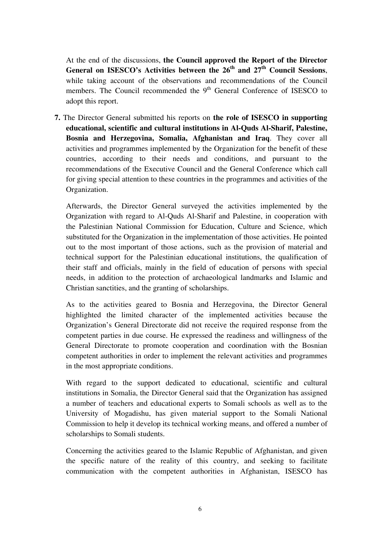At the end of the discussions, **the Council approved the Report of the Director General on ISESCO's Activities between the 26th and 27th Council Sessions**, while taking account of the observations and recommendations of the Council members. The Council recommended the 9<sup>th</sup> General Conference of ISESCO to adopt this report.

**7.** The Director General submitted his reports on **the role of ISESCO in supporting educational, scientific and cultural institutions in Al-Quds Al-Sharif, Palestine, Bosnia and Herzegovina, Somalia, Afghanistan and Iraq**. They cover all activities and programmes implemented by the Organization for the benefit of these countries, according to their needs and conditions, and pursuant to the recommendations of the Executive Council and the General Conference which call for giving special attention to these countries in the programmes and activities of the Organization.

Afterwards, the Director General surveyed the activities implemented by the Organization with regard to Al-Quds Al-Sharif and Palestine, in cooperation with the Palestinian National Commission for Education, Culture and Science, which substituted for the Organization in the implementation of those activities. He pointed out to the most important of those actions, such as the provision of material and technical support for the Palestinian educational institutions, the qualification of their staff and officials, mainly in the field of education of persons with special needs, in addition to the protection of archaeological landmarks and Islamic and Christian sanctities, and the granting of scholarships.

As to the activities geared to Bosnia and Herzegovina, the Director General highlighted the limited character of the implemented activities because the Organization's General Directorate did not receive the required response from the competent parties in due course. He expressed the readiness and willingness of the General Directorate to promote cooperation and coordination with the Bosnian competent authorities in order to implement the relevant activities and programmes in the most appropriate conditions.

With regard to the support dedicated to educational, scientific and cultural institutions in Somalia, the Director General said that the Organization has assigned a number of teachers and educational experts to Somali schools as well as to the University of Mogadishu, has given material support to the Somali National Commission to help it develop its technical working means, and offered a number of scholarships to Somali students.

Concerning the activities geared to the Islamic Republic of Afghanistan, and given the specific nature of the reality of this country, and seeking to facilitate communication with the competent authorities in Afghanistan, ISESCO has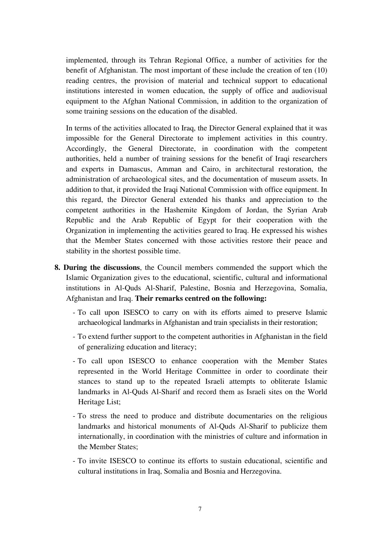implemented, through its Tehran Regional Office, a number of activities for the benefit of Afghanistan. The most important of these include the creation of ten (10) reading centres, the provision of material and technical support to educational institutions interested in women education, the supply of office and audiovisual equipment to the Afghan National Commission, in addition to the organization of some training sessions on the education of the disabled.

In terms of the activities allocated to Iraq, the Director General explained that it was impossible for the General Directorate to implement activities in this country. Accordingly, the General Directorate, in coordination with the competent authorities, held a number of training sessions for the benefit of Iraqi researchers and experts in Damascus, Amman and Cairo, in architectural restoration, the administration of archaeological sites, and the documentation of museum assets. In addition to that, it provided the Iraqi National Commission with office equipment. In this regard, the Director General extended his thanks and appreciation to the competent authorities in the Hashemite Kingdom of Jordan, the Syrian Arab Republic and the Arab Republic of Egypt for their cooperation with the Organization in implementing the activities geared to Iraq. He expressed his wishes that the Member States concerned with those activities restore their peace and stability in the shortest possible time.

- **8. During the discussions**, the Council members commended the support which the Islamic Organization gives to the educational, scientific, cultural and informational institutions in Al-Quds Al-Sharif, Palestine, Bosnia and Herzegovina, Somalia, Afghanistan and Iraq. **Their remarks centred on the following:** 
	- To call upon ISESCO to carry on with its efforts aimed to preserve Islamic archaeological landmarks in Afghanistan and train specialists in their restoration;
	- To extend further support to the competent authorities in Afghanistan in the field of generalizing education and literacy;
	- To call upon ISESCO to enhance cooperation with the Member States represented in the World Heritage Committee in order to coordinate their stances to stand up to the repeated Israeli attempts to obliterate Islamic landmarks in Al-Quds Al-Sharif and record them as Israeli sites on the World Heritage List;
	- To stress the need to produce and distribute documentaries on the religious landmarks and historical monuments of Al-Quds Al-Sharif to publicize them internationally, in coordination with the ministries of culture and information in the Member States;
	- To invite ISESCO to continue its efforts to sustain educational, scientific and cultural institutions in Iraq, Somalia and Bosnia and Herzegovina.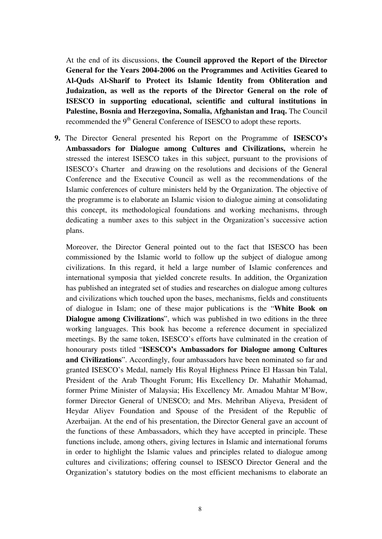At the end of its discussions, **the Council approved the Report of the Director General for the Years 2004-2006 on the Programmes and Activities Geared to Al-Quds Al-Sharif to Protect its Islamic Identity from Obliteration and Judaization, as well as the reports of the Director General on the role of ISESCO in supporting educational, scientific and cultural institutions in Palestine, Bosnia and Herzegovina, Somalia, Afghanistan and Iraq.** The Council recommended the 9<sup>th</sup> General Conference of ISESCO to adopt these reports.

**9.** The Director General presented his Report on the Programme of **ISESCO's Ambassadors for Dialogue among Cultures and Civilizations,** wherein he stressed the interest ISESCO takes in this subject, pursuant to the provisions of ISESCO's Charter and drawing on the resolutions and decisions of the General Conference and the Executive Council as well as the recommendations of the Islamic conferences of culture ministers held by the Organization. The objective of the programme is to elaborate an Islamic vision to dialogue aiming at consolidating this concept, its methodological foundations and working mechanisms, through dedicating a number axes to this subject in the Organization's successive action plans.

Moreover, the Director General pointed out to the fact that ISESCO has been commissioned by the Islamic world to follow up the subject of dialogue among civilizations. In this regard, it held a large number of Islamic conferences and international symposia that yielded concrete results. In addition, the Organization has published an integrated set of studies and researches on dialogue among cultures and civilizations which touched upon the bases, mechanisms, fields and constituents of dialogue in Islam; one of these major publications is the "**White Book on Dialogue among Civilizations**", which was published in two editions in the three working languages. This book has become a reference document in specialized meetings. By the same token, ISESCO's efforts have culminated in the creation of honourary posts titled "**ISESCO's Ambassadors for Dialogue among Cultures and Civilizations**". Accordingly, four ambassadors have been nominated so far and granted ISESCO's Medal, namely His Royal Highness Prince El Hassan bin Talal, President of the Arab Thought Forum; His Excellency Dr. Mahathir Mohamad, former Prime Minister of Malaysia; His Excellency Mr. Amadou Mahtar M'Bow, former Director General of UNESCO; and Mrs. Mehriban Aliyeva, President of Heydar Aliyev Foundation and Spouse of the President of the Republic of Azerbaijan. At the end of his presentation, the Director General gave an account of the functions of these Ambassadors, which they have accepted in principle. These functions include, among others, giving lectures in Islamic and international forums in order to highlight the Islamic values and principles related to dialogue among cultures and civilizations; offering counsel to ISESCO Director General and the Organization's statutory bodies on the most efficient mechanisms to elaborate an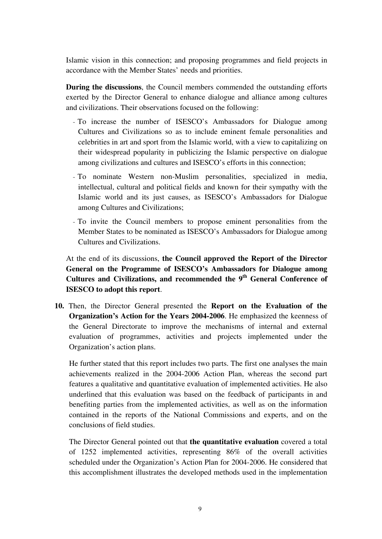Islamic vision in this connection; and proposing programmes and field projects in accordance with the Member States' needs and priorities.

**During the discussions**, the Council members commended the outstanding efforts exerted by the Director General to enhance dialogue and alliance among cultures and civilizations. Their observations focused on the following:

- To increase the number of ISESCO's Ambassadors for Dialogue among Cultures and Civilizations so as to include eminent female personalities and celebrities in art and sport from the Islamic world, with a view to capitalizing on their widespread popularity in publicizing the Islamic perspective on dialogue among civilizations and cultures and ISESCO's efforts in this connection;
- To nominate Western non-Muslim personalities, specialized in media, intellectual, cultural and political fields and known for their sympathy with the Islamic world and its just causes, as ISESCO's Ambassadors for Dialogue among Cultures and Civilizations;
- To invite the Council members to propose eminent personalities from the Member States to be nominated as ISESCO's Ambassadors for Dialogue among Cultures and Civilizations.

At the end of its discussions, **the Council approved the Report of the Director General on the Programme of ISESCO's Ambassadors for Dialogue among Cultures and Civilizations, and recommended the 9th General Conference of ISESCO to adopt this report**.

**10.** Then, the Director General presented the **Report on the Evaluation of the Organization's Action for the Years 2004-2006**. He emphasized the keenness of the General Directorate to improve the mechanisms of internal and external evaluation of programmes, activities and projects implemented under the Organization's action plans.

He further stated that this report includes two parts. The first one analyses the main achievements realized in the 2004-2006 Action Plan, whereas the second part features a qualitative and quantitative evaluation of implemented activities. He also underlined that this evaluation was based on the feedback of participants in and benefiting parties from the implemented activities, as well as on the information contained in the reports of the National Commissions and experts, and on the conclusions of field studies.

The Director General pointed out that **the quantitative evaluation** covered a total of 1252 implemented activities, representing 86% of the overall activities scheduled under the Organization's Action Plan for 2004-2006. He considered that this accomplishment illustrates the developed methods used in the implementation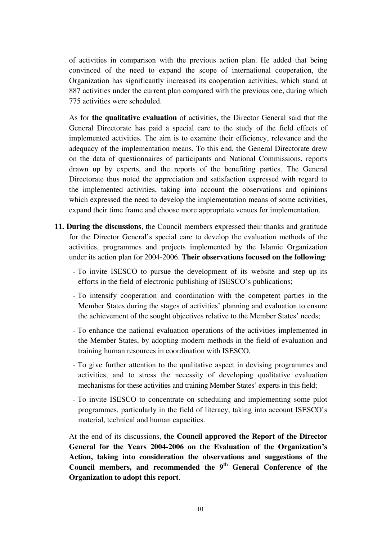of activities in comparison with the previous action plan. He added that being convinced of the need to expand the scope of international cooperation, the Organization has significantly increased its cooperation activities, which stand at 887 activities under the current plan compared with the previous one, during which 775 activities were scheduled.

As for **the qualitative evaluation** of activities, the Director General said that the General Directorate has paid a special care to the study of the field effects of implemented activities. The aim is to examine their efficiency, relevance and the adequacy of the implementation means. To this end, the General Directorate drew on the data of questionnaires of participants and National Commissions, reports drawn up by experts, and the reports of the benefiting parties. The General Directorate thus noted the appreciation and satisfaction expressed with regard to the implemented activities, taking into account the observations and opinions which expressed the need to develop the implementation means of some activities, expand their time frame and choose more appropriate venues for implementation.

- **11. During the discussions**, the Council members expressed their thanks and gratitude for the Director General's special care to develop the evaluation methods of the activities, programmes and projects implemented by the Islamic Organization under its action plan for 2004-2006. **Their observations focused on the following**:
	- To invite ISESCO to pursue the development of its website and step up its efforts in the field of electronic publishing of ISESCO's publications;
	- To intensify cooperation and coordination with the competent parties in the Member States during the stages of activities' planning and evaluation to ensure the achievement of the sought objectives relative to the Member States' needs;
	- To enhance the national evaluation operations of the activities implemented in the Member States, by adopting modern methods in the field of evaluation and training human resources in coordination with ISESCO.
	- To give further attention to the qualitative aspect in devising programmes and activities, and to stress the necessity of developing qualitative evaluation mechanisms for these activities and training Member States' experts in this field;
	- To invite ISESCO to concentrate on scheduling and implementing some pilot programmes, particularly in the field of literacy, taking into account ISESCO's material, technical and human capacities.

At the end of its discussions, **the Council approved the Report of the Director General for the Years 2004-2006 on the Evaluation of the Organization's Action, taking into consideration the observations and suggestions of the Council members, and recommended the 9th General Conference of the Organization to adopt this report**.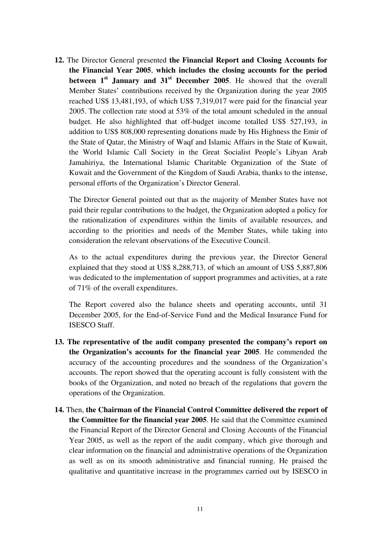**12.** The Director General presented **the Financial Report and Closing Accounts for the Financial Year 2005**, **which includes the closing accounts for the period between 1st January and 31st December 2005**. He showed that the overall Member States' contributions received by the Organization during the year 2005 reached US\$ 13,481,193, of which US\$ 7,319,017 were paid for the financial year 2005. The collection rate stood at 53% of the total amount scheduled in the annual budget. He also highlighted that off-budget income totalled US\$ 527,193, in addition to US\$ 808,000 representing donations made by His Highness the Emir of the State of Qatar, the Ministry of Waqf and Islamic Affairs in the State of Kuwait, the World Islamic Call Society in the Great Socialist People's Libyan Arab Jamahiriya, the International Islamic Charitable Organization of the State of Kuwait and the Government of the Kingdom of Saudi Arabia, thanks to the intense, personal efforts of the Organization's Director General.

The Director General pointed out that as the majority of Member States have not paid their regular contributions to the budget, the Organization adopted a policy for the rationalization of expenditures within the limits of available resources, and according to the priorities and needs of the Member States, while taking into consideration the relevant observations of the Executive Council.

As to the actual expenditures during the previous year, the Director General explained that they stood at US\$ 8,288,713, of which an amount of US\$ 5,887,806 was dedicated to the implementation of support programmes and activities, at a rate of 71% of the overall expenditures.

The Report covered also the balance sheets and operating accounts, until 31 December 2005, for the End-of-Service Fund and the Medical Insurance Fund for ISESCO Staff.

- **13. The representative of the audit company presented the company's report on the Organization's accounts for the financial year 2005**. He commended the accuracy of the accounting procedures and the soundness of the Organization's accounts. The report showed that the operating account is fully consistent with the books of the Organization, and noted no breach of the regulations that govern the operations of the Organization.
- **14.** Then, **the Chairman of the Financial Control Committee delivered the report of the Committee for the financial year 2005**. He said that the Committee examined the Financial Report of the Director General and Closing Accounts of the Financial Year 2005, as well as the report of the audit company, which give thorough and clear information on the financial and administrative operations of the Organization as well as on its smooth administrative and financial running. He praised the qualitative and quantitative increase in the programmes carried out by ISESCO in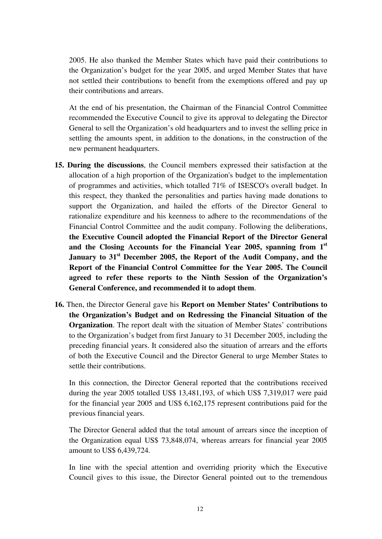2005. He also thanked the Member States which have paid their contributions to the Organization's budget for the year 2005, and urged Member States that have not settled their contributions to benefit from the exemptions offered and pay up their contributions and arrears.

At the end of his presentation, the Chairman of the Financial Control Committee recommended the Executive Council to give its approval to delegating the Director General to sell the Organization's old headquarters and to invest the selling price in settling the amounts spent, in addition to the donations, in the construction of the new permanent headquarters.

- **15. During the discussions**, the Council members expressed their satisfaction at the allocation of a high proportion of the Organization's budget to the implementation of programmes and activities, which totalled 71% of ISESCO's overall budget. In this respect, they thanked the personalities and parties having made donations to support the Organization, and hailed the efforts of the Director General to rationalize expenditure and his keenness to adhere to the recommendations of the Financial Control Committee and the audit company. Following the deliberations, **the Executive Council adopted the Financial Report of the Director General and the Closing Accounts for the Financial Year 2005, spanning from 1st January to 31st December 2005, the Report of the Audit Company, and the Report of the Financial Control Committee for the Year 2005. The Council agreed to refer these reports to the Ninth Session of the Organization's General Conference, and recommended it to adopt them**.
- **16.** Then, the Director General gave his **Report on Member States' Contributions to the Organization's Budget and on Redressing the Financial Situation of the Organization**. The report dealt with the situation of Member States' contributions to the Organization's budget from first January to 31 December 2005, including the preceding financial years. It considered also the situation of arrears and the efforts of both the Executive Council and the Director General to urge Member States to settle their contributions.

In this connection, the Director General reported that the contributions received during the year 2005 totalled US\$ 13,481,193, of which US\$ 7,319,017 were paid for the financial year 2005 and US\$ 6,162,175 represent contributions paid for the previous financial years.

The Director General added that the total amount of arrears since the inception of the Organization equal US\$ 73,848,074, whereas arrears for financial year 2005 amount to US\$ 6,439,724.

In line with the special attention and overriding priority which the Executive Council gives to this issue, the Director General pointed out to the tremendous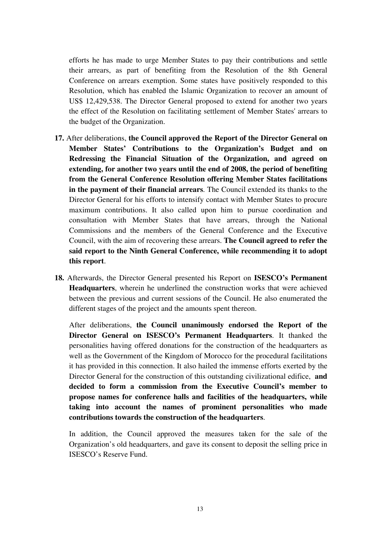efforts he has made to urge Member States to pay their contributions and settle their arrears, as part of benefiting from the Resolution of the 8th General Conference on arrears exemption. Some states have positively responded to this Resolution, which has enabled the Islamic Organization to recover an amount of US\$ 12,429,538. The Director General proposed to extend for another two years the effect of the Resolution on facilitating settlement of Member States' arrears to the budget of the Organization.

- **17.** After deliberations, **the Council approved the Report of the Director General on Member States' Contributions to the Organization's Budget and on Redressing the Financial Situation of the Organization, and agreed on extending, for another two years until the end of 2008, the period of benefiting from the General Conference Resolution offering Member States facilitations in the payment of their financial arrears**. The Council extended its thanks to the Director General for his efforts to intensify contact with Member States to procure maximum contributions. It also called upon him to pursue coordination and consultation with Member States that have arrears, through the National Commissions and the members of the General Conference and the Executive Council, with the aim of recovering these arrears. **The Council agreed to refer the said report to the Ninth General Conference, while recommending it to adopt this report**.
- **18.** Afterwards, the Director General presented his Report on **ISESCO's Permanent Headquarters**, wherein he underlined the construction works that were achieved between the previous and current sessions of the Council. He also enumerated the different stages of the project and the amounts spent thereon.

After deliberations, **the Council unanimously endorsed the Report of the Director General on ISESCO's Permanent Headquarters**. It thanked the personalities having offered donations for the construction of the headquarters as well as the Government of the Kingdom of Morocco for the procedural facilitations it has provided in this connection. It also hailed the immense efforts exerted by the Director General for the construction of this outstanding civilizational edifice, **and decided to form a commission from the Executive Council's member to propose names for conference halls and facilities of the headquarters, while taking into account the names of prominent personalities who made contributions towards the construction of the headquarters**.

In addition, the Council approved the measures taken for the sale of the Organization's old headquarters, and gave its consent to deposit the selling price in ISESCO's Reserve Fund.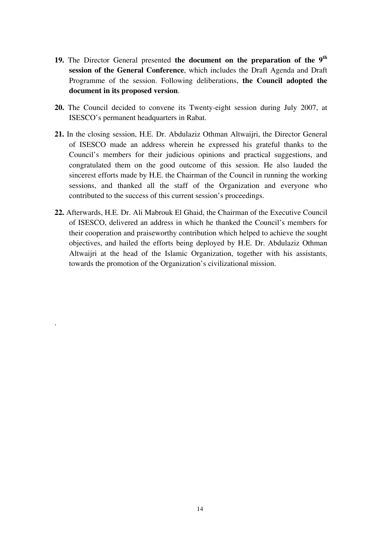- **19.** The Director General presented **the document on the preparation of the 9th session of the General Conference**, which includes the Draft Agenda and Draft Programme of the session. Following deliberations, **the Council adopted the document in its proposed version**.
- **20.** The Council decided to convene its Twenty-eight session during July 2007, at ISESCO's permanent headquarters in Rabat.
- **21.** In the closing session, H.E. Dr. Abdulaziz Othman Altwaijri, the Director General of ISESCO made an address wherein he expressed his grateful thanks to the Council's members for their judicious opinions and practical suggestions, and congratulated them on the good outcome of this session. He also lauded the sincerest efforts made by H.E. the Chairman of the Council in running the working sessions, and thanked all the staff of the Organization and everyone who contributed to the success of this current session's proceedings.
- **22.** Afterwards, H.E. Dr. Ali Mabrouk El Ghaid, the Chairman of the Executive Council of ISESCO, delivered an address in which he thanked the Council's members for their cooperation and praiseworthy contribution which helped to achieve the sought objectives, and hailed the efforts being deployed by H.E. Dr. Abdulaziz Othman Altwaijri at the head of the Islamic Organization, together with his assistants, towards the promotion of the Organization's civilizational mission.

.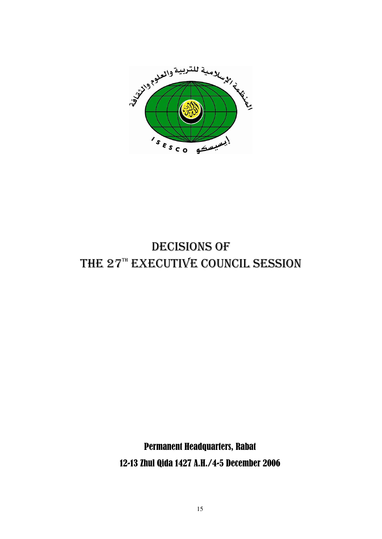

# DECISIONS OF THE 27TH EXECUTIVE COUNCIL SESSION

Permanent Headquarters, Rabat 12-13 Zhul Qida 1427 A.H./4-5 December 2006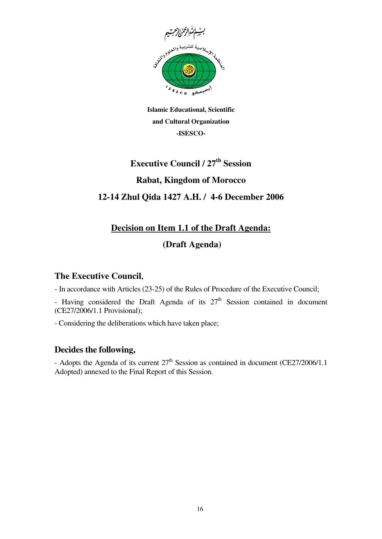

**Islamic Educational, Scientific and Cultural Organization -ISESCO-**

# **Executive Council / 27th Session Rabat, Kingdom of Morocco 12-14 Zhul Qida 1427 A.H. / 4-6 December 2006**

# **Decision on Item 1.1 of the Draft Agenda:**

## **(Draft Agenda)**

### **The Executive Council,**

- In accordance with Articles (23-25) of the Rules of Procedure of the Executive Council;

- Having considered the Draft Agenda of its  $27<sup>th</sup>$  Session contained in document (CE27/2006/1.1 Provisional);

- Considering the deliberations which have taken place;

## **Decides the following,**

- Adopts the Agenda of its current  $27<sup>th</sup>$  Session as contained in document (CE27/2006/1.1) Adopted) annexed to the Final Report of this Session.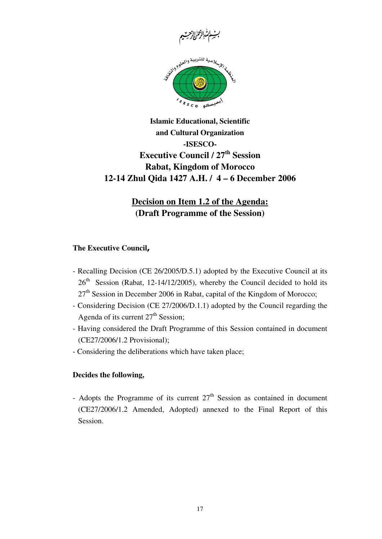

## **Islamic Educational, Scientific and Cultural Organization -ISESCO-Executive Council / 27th Session Rabat, Kingdom of Morocco 12-14 Zhul Qida 1427 A.H. / 4 – 6 December 2006**

## **Decision on Item 1.2 of the Agenda: (Draft Programme of the Session)**

#### **The Executive Council,**

- Recalling Decision (CE 26/2005/D.5.1) adopted by the Executive Council at its  $26<sup>th</sup>$  Session (Rabat, 12-14/12/2005), whereby the Council decided to hold its  $27<sup>th</sup>$  Session in December 2006 in Rabat, capital of the Kingdom of Morocco;
- Considering Decision (CE 27/2006/D.1.1) adopted by the Council regarding the Agenda of its current 27<sup>th</sup> Session;
- Having considered the Draft Programme of this Session contained in document (CE27/2006/1.2 Provisional);
- Considering the deliberations which have taken place;

#### **Decides the following,**

- Adopts the Programme of its current  $27<sup>th</sup>$  Session as contained in document (CE27/2006/1.2 Amended, Adopted) annexed to the Final Report of this Session.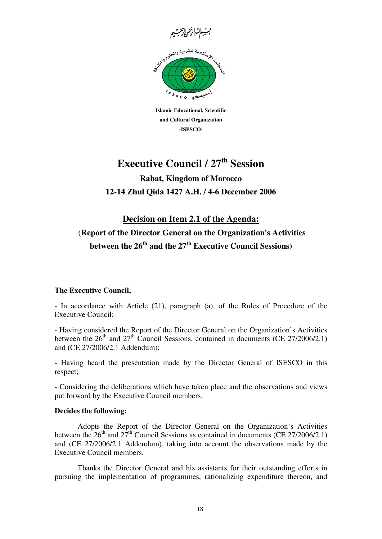

**Islamic Educational, Scientific and Cultural Organization -ISESCO-**

**Rabat, Kingdom of Morocco 12-14 Zhul Qida 1427 A.H. / 4-6 December 2006** 

## **Decision on Item 2.1 of the Agenda:** (**Report of the Director General on the Organization's Activities between the 26th and the 27th Executive Council Sessions)**

#### **The Executive Council,**

- In accordance with Article (21), paragraph (a), of the Rules of Procedure of the Executive Council;

- Having considered the Report of the Director General on the Organization's Activities between the  $26<sup>th</sup>$  and  $27<sup>th</sup>$  Council Sessions, contained in documents (CE 27/2006/2.1) and (CE 27/2006/2.1 Addendum);

- Having heard the presentation made by the Director General of ISESCO in this respect;

- Considering the deliberations which have taken place and the observations and views put forward by the Executive Council members;

#### **Decides the following:**

Adopts the Report of the Director General on the Organization's Activities between the  $26<sup>th</sup>$  and  $27<sup>th</sup>$  Council Sessions as contained in documents (CE 27/2006/2.1) and (CE 27/2006/2.1 Addendum), taking into account the observations made by the Executive Council members.

Thanks the Director General and his assistants for their outstanding efforts in pursuing the implementation of programmes, rationalizing expenditure thereon, and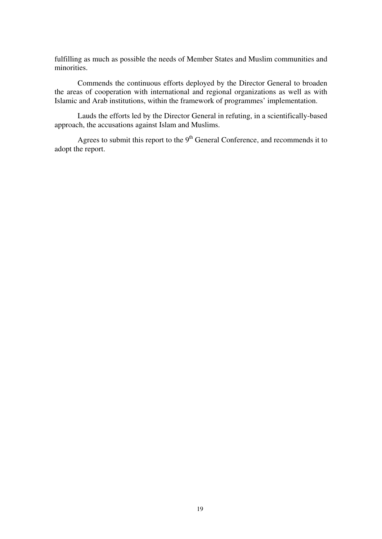fulfilling as much as possible the needs of Member States and Muslim communities and minorities.

Commends the continuous efforts deployed by the Director General to broaden the areas of cooperation with international and regional organizations as well as with Islamic and Arab institutions, within the framework of programmes' implementation.

Lauds the efforts led by the Director General in refuting, in a scientifically-based approach, the accusations against Islam and Muslims.

Agrees to submit this report to the  $9<sup>th</sup>$  General Conference, and recommends it to adopt the report.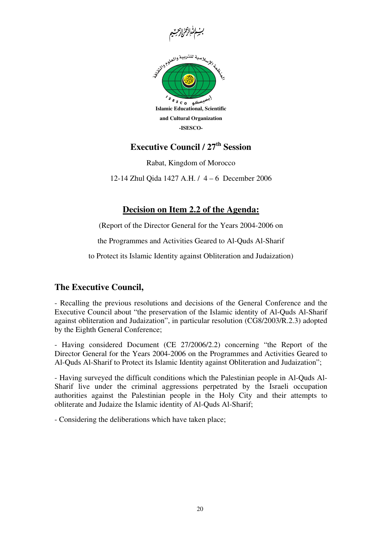



Rabat, Kingdom of Morocco

12-14 Zhul Qida 1427 A.H. / 4 – 6 December 2006

### **Decision on Item 2.2 of the Agenda:**

(Report of the Director General for the Years 2004-2006 on

the Programmes and Activities Geared to Al-Quds Al-Sharif

to Protect its Islamic Identity against Obliteration and Judaization)

### **The Executive Council,**

- Recalling the previous resolutions and decisions of the General Conference and the Executive Council about "the preservation of the Islamic identity of Al-Quds Al-Sharif against obliteration and Judaization", in particular resolution (CG8/2003/R.2.3) adopted by the Eighth General Conference;

- Having considered Document (CE 27/2006/2.2) concerning "the Report of the Director General for the Years 2004-2006 on the Programmes and Activities Geared to Al-Quds Al-Sharif to Protect its Islamic Identity against Obliteration and Judaization";

- Having surveyed the difficult conditions which the Palestinian people in Al-Quds Al-Sharif live under the criminal aggressions perpetrated by the Israeli occupation authorities against the Palestinian people in the Holy City and their attempts to obliterate and Judaize the Islamic identity of Al-Quds Al-Sharif;

- Considering the deliberations which have taken place;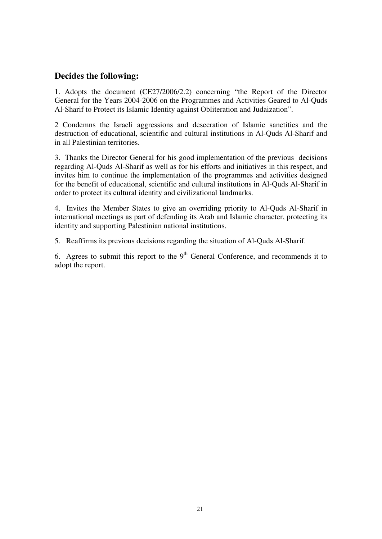#### **Decides the following:**

1. Adopts the document (CE27/2006/2.2) concerning "the Report of the Director General for the Years 2004-2006 on the Programmes and Activities Geared to Al-Quds Al-Sharif to Protect its Islamic Identity against Obliteration and Judaization".

2 Condemns the Israeli aggressions and desecration of Islamic sanctities and the destruction of educational, scientific and cultural institutions in Al-Quds Al-Sharif and in all Palestinian territories.

3. Thanks the Director General for his good implementation of the previous decisions regarding Al-Quds Al-Sharif as well as for his efforts and initiatives in this respect, and invites him to continue the implementation of the programmes and activities designed for the benefit of educational, scientific and cultural institutions in Al-Quds Al-Sharif in order to protect its cultural identity and civilizational landmarks.

4. Invites the Member States to give an overriding priority to Al-Quds Al-Sharif in international meetings as part of defending its Arab and Islamic character, protecting its identity and supporting Palestinian national institutions.

5. Reaffirms its previous decisions regarding the situation of Al-Quds Al-Sharif.

6. Agrees to submit this report to the  $9<sup>th</sup>$  General Conference, and recommends it to adopt the report.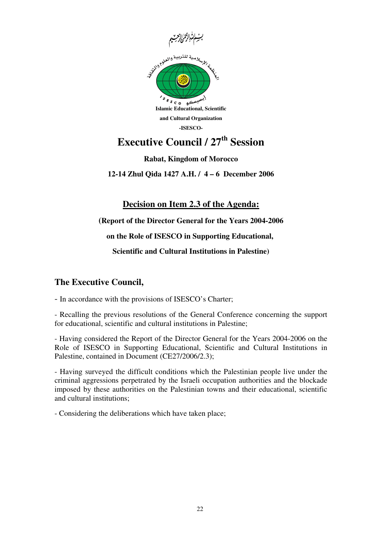



**Rabat, Kingdom of Morocco**

**12-14 Zhul Qida 1427 A.H. / 4 – 6 December 2006**

**Decision on Item 2.3 of the Agenda:**

 **(Report of the Director General for the Years 2004-2006 on the Role of ISESCO in Supporting Educational, Scientific and Cultural Institutions in Palestine)**

### **The Executive Council,**

- In accordance with the provisions of ISESCO's Charter;

- Recalling the previous resolutions of the General Conference concerning the support for educational, scientific and cultural institutions in Palestine;

- Having considered the Report of the Director General for the Years 2004-2006 on the Role of ISESCO in Supporting Educational, Scientific and Cultural Institutions in Palestine, contained in Document (CE27/2006/2.3);

- Having surveyed the difficult conditions which the Palestinian people live under the criminal aggressions perpetrated by the Israeli occupation authorities and the blockade imposed by these authorities on the Palestinian towns and their educational, scientific and cultural institutions;

- Considering the deliberations which have taken place;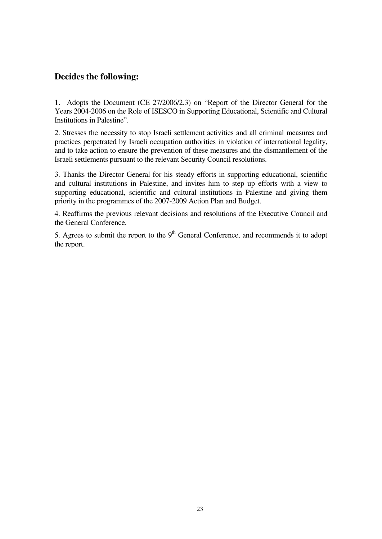## **Decides the following:**

1. Adopts the Document (CE 27/2006/2.3) on "Report of the Director General for the Years 2004-2006 on the Role of ISESCO in Supporting Educational, Scientific and Cultural Institutions in Palestine".

2. Stresses the necessity to stop Israeli settlement activities and all criminal measures and practices perpetrated by Israeli occupation authorities in violation of international legality, and to take action to ensure the prevention of these measures and the dismantlement of the Israeli settlements pursuant to the relevant Security Council resolutions.

3. Thanks the Director General for his steady efforts in supporting educational, scientific and cultural institutions in Palestine, and invites him to step up efforts with a view to supporting educational, scientific and cultural institutions in Palestine and giving them priority in the programmes of the 2007-2009 Action Plan and Budget.

4. Reaffirms the previous relevant decisions and resolutions of the Executive Council and the General Conference.

5. Agrees to submit the report to the  $9<sup>th</sup>$  General Conference, and recommends it to adopt the report.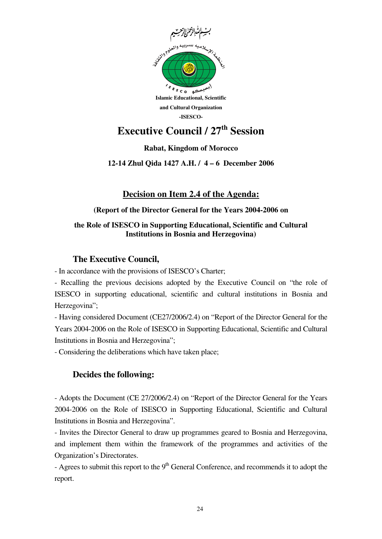

### **Rabat, Kingdom of Morocco**

**12-14 Zhul Qida 1427 A.H. / 4 – 6 December 2006**

## **Decision on Item 2.4 of the Agenda:**

#### **(Report of the Director General for the Years 2004-2006 on**

#### **the Role of ISESCO in Supporting Educational, Scientific and Cultural Institutions in Bosnia and Herzegovina)**

#### **The Executive Council,**

- In accordance with the provisions of ISESCO's Charter;

- Recalling the previous decisions adopted by the Executive Council on "the role of ISESCO in supporting educational, scientific and cultural institutions in Bosnia and Herzegovina";

- Having considered Document (CE27/2006/2.4) on "Report of the Director General for the Years 2004-2006 on the Role of ISESCO in Supporting Educational, Scientific and Cultural Institutions in Bosnia and Herzegovina";

- Considering the deliberations which have taken place;

### **Decides the following:**

- Adopts the Document (CE 27/2006/2.4) on "Report of the Director General for the Years 2004-2006 on the Role of ISESCO in Supporting Educational, Scientific and Cultural Institutions in Bosnia and Herzegovina".

- Invites the Director General to draw up programmes geared to Bosnia and Herzegovina, and implement them within the framework of the programmes and activities of the Organization's Directorates.

- Agrees to submit this report to the  $9<sup>th</sup>$  General Conference, and recommends it to adopt the report.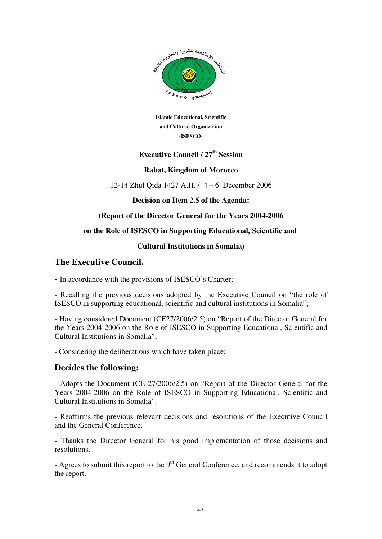

**Islamic Educational, Scientific and Cultural Organization -ISESCO-**

## **Executive Council / 27th Session**

#### **Rabat, Kingdom of Morocco**

12-14 Zhul Qida 1427 A.H. / 4 – 6 December 2006

**Decision on Item 2.5 of the Agenda:**

#### **(Report of the Director General for the Years 2004-2006**

#### **on the Role of ISESCO in Supporting Educational, Scientific and**

#### **Cultural Institutions in Somalia)**

#### **The Executive Council,**

**-** In accordance with the provisions of ISESCO's Charter;

- Recalling the previous decisions adopted by the Executive Council on "the role of ISESCO in supporting educational, scientific and cultural institutions in Somalia";

- Having considered Document (CE27/2006/2.5) on "Report of the Director General for the Years 2004-2006 on the Role of ISESCO in Supporting Educational, Scientific and Cultural Institutions in Somalia";

- Considering the deliberations which have taken place;

#### **Decides the following:**

- Adopts the Document (CE 27/2006/2.5) on "Report of the Director General for the Years 2004-2006 on the Role of ISESCO in Supporting Educational, Scientific and Cultural Institutions in Somalia".

- Reaffirms the previous relevant decisions and resolutions of the Executive Council and the General Conference.

- Thanks the Director General for his good implementation of those decisions and resolutions.

- Agrees to submit this report to the  $9<sup>th</sup>$  General Conference, and recommends it to adopt the report.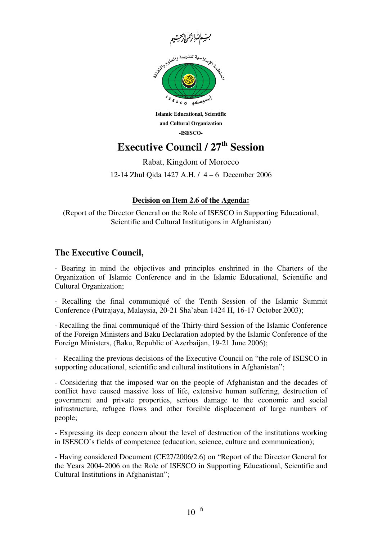

**Islamic Educational, Scientific and Cultural Organization -ISESCO-**

Rabat, Kingdom of Morocco

12-14 Zhul Qida 1427 A.H. / 4 – 6 December 2006

#### **Decision on Item 2.6 of the Agenda:**

(Report of the Director General on the Role of ISESCO in Supporting Educational, Scientific and Cultural Institutigons in Afghanistan)

### **The Executive Council,**

- Bearing in mind the objectives and principles enshrined in the Charters of the Organization of Islamic Conference and in the Islamic Educational, Scientific and Cultural Organization;

- Recalling the final communiqué of the Tenth Session of the Islamic Summit Conference (Putrajaya, Malaysia, 20-21 Sha'aban 1424 H, 16-17 October 2003);

- Recalling the final communiqué of the Thirty-third Session of the Islamic Conference of the Foreign Ministers and Baku Declaration adopted by the Islamic Conference of the Foreign Ministers, (Baku, Republic of Azerbaijan, 19-21 June 2006);

-Recalling the previous decisions of the Executive Council on "the role of ISESCO in supporting educational, scientific and cultural institutions in Afghanistan";

- Considering that the imposed war on the people of Afghanistan and the decades of conflict have caused massive loss of life, extensive human suffering, destruction of government and private properties, serious damage to the economic and social infrastructure, refugee flows and other forcible displacement of large numbers of people;

- Expressing its deep concern about the level of destruction of the institutions working in ISESCO's fields of competence (education, science, culture and communication);

- Having considered Document (CE27/2006/2.6) on "Report of the Director General for the Years 2004-2006 on the Role of ISESCO in Supporting Educational, Scientific and Cultural Institutions in Afghanistan";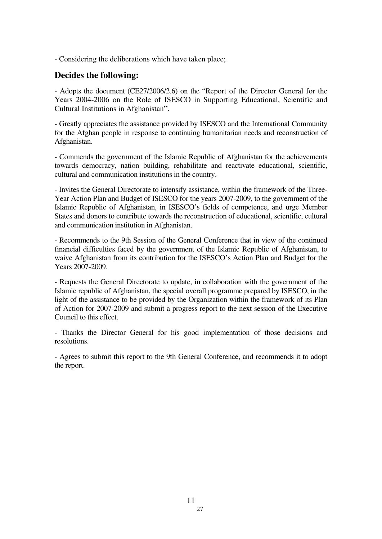- Considering the deliberations which have taken place;

#### **Decides the following:**

- Adopts the document (CE27/2006/2.6) on the "Report of the Director General for the Years 2004-2006 on the Role of ISESCO in Supporting Educational, Scientific and Cultural Institutions in Afghanistan**"**.

- Greatly appreciates the assistance provided by ISESCO and the International Community for the Afghan people in response to continuing humanitarian needs and reconstruction of Afghanistan.

- Commends the government of the Islamic Republic of Afghanistan for the achievements towards democracy, nation building, rehabilitate and reactivate educational, scientific, cultural and communication institutions in the country.

- Invites the General Directorate to intensify assistance, within the framework of the Three-Year Action Plan and Budget of ISESCO for the years 2007-2009, to the government of the Islamic Republic of Afghanistan, in ISESCO's fields of competence, and urge Member States and donors to contribute towards the reconstruction of educational, scientific, cultural and communication institution in Afghanistan.

- Recommends to the 9th Session of the General Conference that in view of the continued financial difficulties faced by the government of the Islamic Republic of Afghanistan, to waive Afghanistan from its contribution for the ISESCO's Action Plan and Budget for the Years 2007-2009.

- Requests the General Directorate to update, in collaboration with the government of the Islamic republic of Afghanistan, the special overall programme prepared by ISESCO, in the light of the assistance to be provided by the Organization within the framework of its Plan of Action for 2007-2009 and submit a progress report to the next session of the Executive Council to this effect.

- Thanks the Director General for his good implementation of those decisions and resolutions.

- Agrees to submit this report to the 9th General Conference, and recommends it to adopt the report.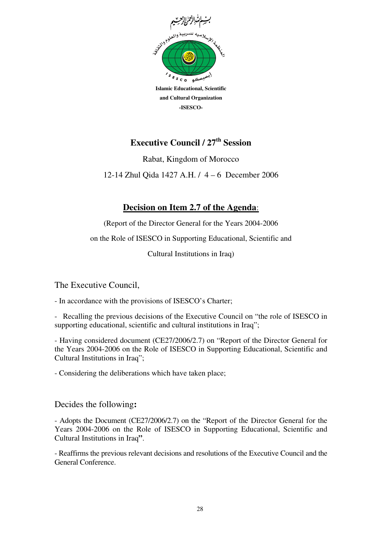

Rabat, Kingdom of Morocco

12-14 Zhul Qida 1427 A.H. / 4 – 6 December 2006

## **Decision on Item 2.7 of the Agenda**:

(Report of the Director General for the Years 2004-2006 on the Role of ISESCO in Supporting Educational, Scientific and Cultural Institutions in Iraq)

The Executive Council,

- In accordance with the provisions of ISESCO's Charter;

-Recalling the previous decisions of the Executive Council on "the role of ISESCO in supporting educational, scientific and cultural institutions in Iraq";

- Having considered document (CE27/2006/2.7) on "Report of the Director General for the Years 2004-2006 on the Role of ISESCO in Supporting Educational, Scientific and Cultural Institutions in Iraq";

- Considering the deliberations which have taken place;

#### Decides the following**:**

- Adopts the Document (CE27/2006/2.7) on the "Report of the Director General for the Years 2004-2006 on the Role of ISESCO in Supporting Educational, Scientific and Cultural Institutions in Iraq**"**.

- Reaffirms the previous relevant decisions and resolutions of the Executive Council and the General Conference.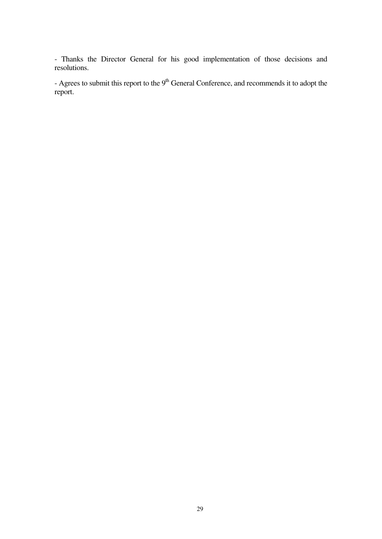- Thanks the Director General for his good implementation of those decisions and resolutions.

- Agrees to submit this report to the  $9<sup>th</sup>$  General Conference, and recommends it to adopt the report.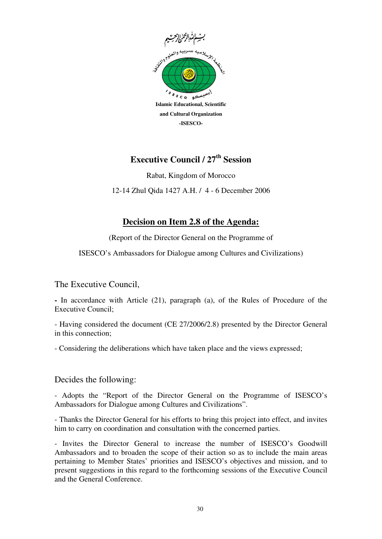

Rabat, Kingdom of Morocco 12-14 Zhul Qida 1427 A.H. / 4 - 6 December 2006

## **Decision on Item 2.8 of the Agenda:**

(Report of the Director General on the Programme of

ISESCO's Ambassadors for Dialogue among Cultures and Civilizations)

The Executive Council,

**-** In accordance with Article (21), paragraph (a), of the Rules of Procedure of the Executive Council;

- Having considered the document (CE 27/2006/2.8) presented by the Director General in this connection;

- Considering the deliberations which have taken place and the views expressed;

#### Decides the following:

- Adopts the "Report of the Director General on the Programme of ISESCO's Ambassadors for Dialogue among Cultures and Civilizations".

- Thanks the Director General for his efforts to bring this project into effect, and invites him to carry on coordination and consultation with the concerned parties.

- Invites the Director General to increase the number of ISESCO's Goodwill Ambassadors and to broaden the scope of their action so as to include the main areas pertaining to Member States' priorities and ISESCO's objectives and mission, and to present suggestions in this regard to the forthcoming sessions of the Executive Council and the General Conference.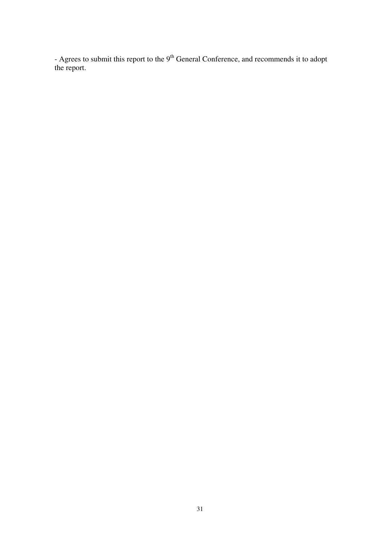- Agrees to submit this report to the  $9<sup>th</sup>$  General Conference, and recommends it to adopt the report.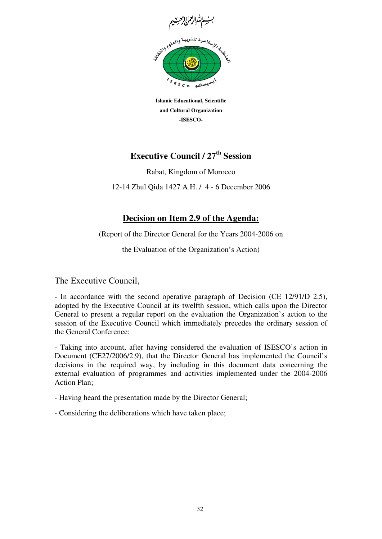

**Islamic Educational, Scientific and Cultural Organization -ISESCO-**

Rabat, Kingdom of Morocco

12-14 Zhul Qida 1427 A.H. / 4 - 6 December 2006

## **Decision on Item 2.9 of the Agenda:**

(Report of the Director General for the Years 2004-2006 on

the Evaluation of the Organization's Action)

The Executive Council,

- In accordance with the second operative paragraph of Decision (CE 12/91/D 2.5), adopted by the Executive Council at its twelfth session, which calls upon the Director General to present a regular report on the evaluation the Organization's action to the session of the Executive Council which immediately precedes the ordinary session of the General Conference;

- Taking into account, after having considered the evaluation of ISESCO's action in Document (CE27/2006/2.9), that the Director General has implemented the Council's decisions in the required way, by including in this document data concerning the external evaluation of programmes and activities implemented under the 2004-2006 Action Plan;

- Having heard the presentation made by the Director General;

- Considering the deliberations which have taken place;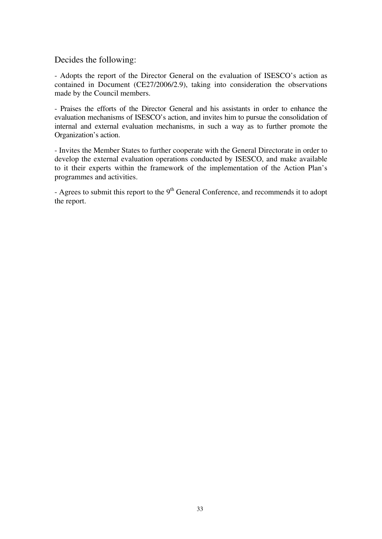Decides the following:

- Adopts the report of the Director General on the evaluation of ISESCO's action as contained in Document (CE27/2006/2.9), taking into consideration the observations made by the Council members.

- Praises the efforts of the Director General and his assistants in order to enhance the evaluation mechanisms of ISESCO's action, and invites him to pursue the consolidation of internal and external evaluation mechanisms, in such a way as to further promote the Organization's action.

- Invites the Member States to further cooperate with the General Directorate in order to develop the external evaluation operations conducted by ISESCO, and make available to it their experts within the framework of the implementation of the Action Plan's programmes and activities.

- Agrees to submit this report to the  $9<sup>th</sup>$  General Conference, and recommends it to adopt the report.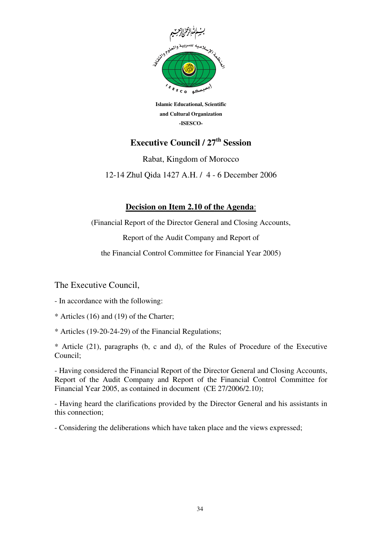

**Islamic Educational, Scientific and Cultural Organization -ISESCO-**

Rabat, Kingdom of Morocco

12-14 Zhul Qida 1427 A.H. / 4 - 6 December 2006

### **Decision on Item 2.10 of the Agenda**:

(Financial Report of the Director General and Closing Accounts,

Report of the Audit Company and Report of

the Financial Control Committee for Financial Year 2005)

The Executive Council,

- In accordance with the following:

- \* Articles (16) and (19) of the Charter;
- \* Articles (19-20-24-29) of the Financial Regulations;

\* Article (21), paragraphs (b, c and d), of the Rules of Procedure of the Executive Council;

- Having considered the Financial Report of the Director General and Closing Accounts, Report of the Audit Company and Report of the Financial Control Committee for Financial Year 2005, as contained in document (CE 27/2006/2.10);

- Having heard the clarifications provided by the Director General and his assistants in this connection;

- Considering the deliberations which have taken place and the views expressed;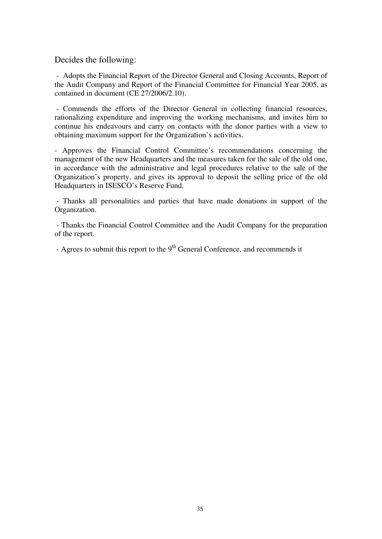Decides the following:

 - Adopts the Financial Report of the Director General and Closing Accounts, Report of the Audit Company and Report of the Financial Committee for Financial Year 2005, as contained in document (CE 27/2006/2.10).

 - Commends the efforts of the Director General in collecting financial resources, rationalizing expenditure and improving the working mechanisms, and invites him to continue his endeavours and carry on contacts with the donor parties with a view to obtaining maximum support for the Organization's activities.

- Approves the Financial Control Committee's recommendations concerning the management of the new Headquarters and the measures taken for the sale of the old one, in accordance with the administrative and legal procedures relative to the sale of the Organization's property, and gives its approval to deposit the selling price of the old Headquarters in ISESCO's Reserve Fund.

 - Thanks all personalities and parties that have made donations in support of the Organization.

 - Thanks the Financial Control Committee and the Audit Company for the preparation of the report.

- Agrees to submit this report to the  $9<sup>th</sup>$  General Conference, and recommends it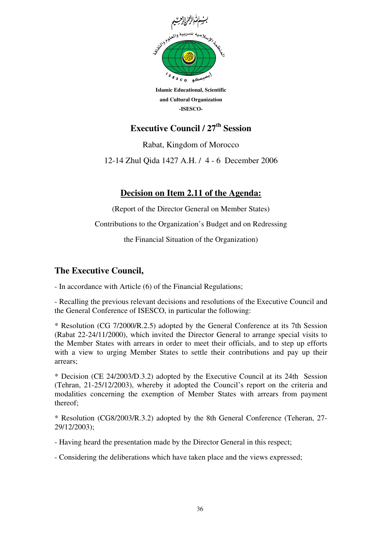

**Islamic Educational, Scientific and Cultural Organization -ISESCO-**

Rabat, Kingdom of Morocco

12-14 Zhul Qida 1427 A.H. / 4 - 6 December 2006

## **Decision on Item 2.11 of the Agenda:**

(Report of the Director General on Member States)

Contributions to the Organization's Budget and on Redressing

the Financial Situation of the Organization)

### **The Executive Council,**

- In accordance with Article (6) of the Financial Regulations;

- Recalling the previous relevant decisions and resolutions of the Executive Council and the General Conference of ISESCO, in particular the following:

\* Resolution (CG 7/2000/R.2.5) adopted by the General Conference at its 7th Session (Rabat 22-24/11/2000), which invited the Director General to arrange special visits to the Member States with arrears in order to meet their officials, and to step up efforts with a view to urging Member States to settle their contributions and pay up their arrears;

\* Decision (CE 24/2003/D.3.2) adopted by the Executive Council at its 24th Session (Tehran, 21-25/12/2003), whereby it adopted the Council's report on the criteria and modalities concerning the exemption of Member States with arrears from payment thereof;

\* Resolution (CG8/2003/R.3.2) adopted by the 8th General Conference (Teheran, 27- 29/12/2003);

- Having heard the presentation made by the Director General in this respect;

- Considering the deliberations which have taken place and the views expressed;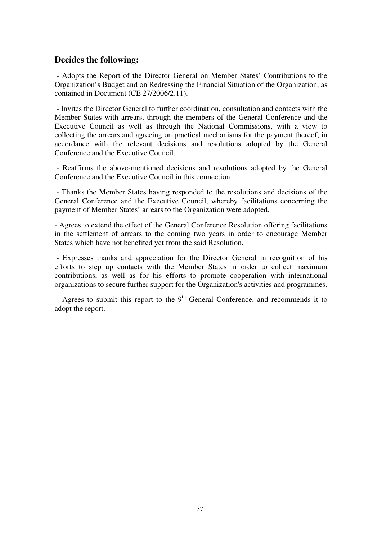#### **Decides the following:**

 - Adopts the Report of the Director General on Member States' Contributions to the Organization's Budget and on Redressing the Financial Situation of the Organization, as contained in Document (CE 27/2006/2.11).

 - Invites the Director General to further coordination, consultation and contacts with the Member States with arrears, through the members of the General Conference and the Executive Council as well as through the National Commissions, with a view to collecting the arrears and agreeing on practical mechanisms for the payment thereof, in accordance with the relevant decisions and resolutions adopted by the General Conference and the Executive Council.

 - Reaffirms the above-mentioned decisions and resolutions adopted by the General Conference and the Executive Council in this connection.

 - Thanks the Member States having responded to the resolutions and decisions of the General Conference and the Executive Council, whereby facilitations concerning the payment of Member States' arrears to the Organization were adopted.

- Agrees to extend the effect of the General Conference Resolution offering facilitations in the settlement of arrears to the coming two years in order to encourage Member States which have not benefited yet from the said Resolution.

 - Expresses thanks and appreciation for the Director General in recognition of his efforts to step up contacts with the Member States in order to collect maximum contributions, as well as for his efforts to promote cooperation with international organizations to secure further support for the Organization's activities and programmes.

- Agrees to submit this report to the  $9<sup>th</sup>$  General Conference, and recommends it to adopt the report.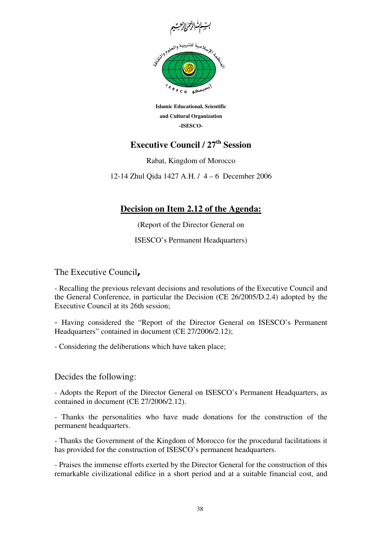

**Islamic Educational, Scientific and Cultural Organization -ISESCO-**

Rabat, Kingdom of Morocco

12-14 Zhul Qida 1427 A.H. / 4 – 6 December 2006

## **Decision on Item 2.12 of the Agenda:**

(Report of the Director General on

ISESCO's Permanent Headquarters)

The Executive Council**,** 

- Recalling the previous relevant decisions and resolutions of the Executive Council and the General Conference, in particular the Decision (CE 26/2005/D.2.4) adopted by the Executive Council at its 26th session;

- Having considered the "Report of the Director General on ISESCO's Permanent Headquarters" contained in document (CE 27/2006/2.12);

- Considering the deliberations which have taken place;

Decides the following:

- Adopts the Report of the Director General on ISESCO's Permanent Headquarters, as contained in document (CE 27/2006/2.12).

- Thanks the personalities who have made donations for the construction of the permanent headquarters.

- Thanks the Government of the Kingdom of Morocco for the procedural facilitations it has provided for the construction of ISESCO's permanent headquarters.

- Praises the immense efforts exerted by the Director General for the construction of this remarkable civilizational edifice in a short period and at a suitable financial cost, and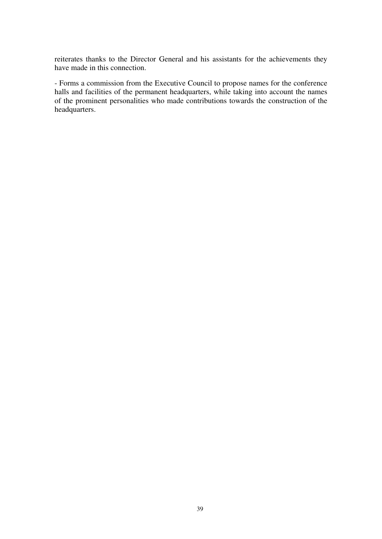reiterates thanks to the Director General and his assistants for the achievements they have made in this connection.

- Forms a commission from the Executive Council to propose names for the conference halls and facilities of the permanent headquarters, while taking into account the names of the prominent personalities who made contributions towards the construction of the headquarters.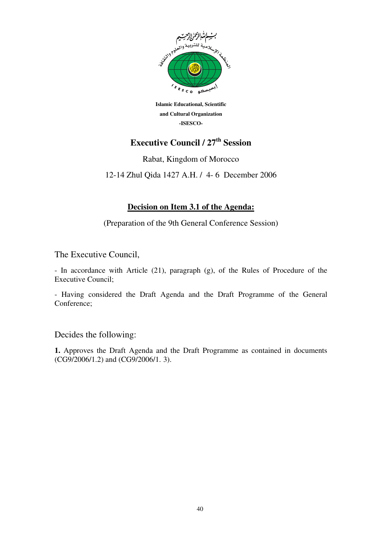

**Islamic Educational, Scientific and Cultural Organization -ISESCO-**

Rabat, Kingdom of Morocco

12-14 Zhul Qida 1427 A.H. / 4- 6 December 2006

#### **Decision on Item 3.1 of the Agenda:**

(Preparation of the 9th General Conference Session)

The Executive Council,

- In accordance with Article (21), paragraph (g), of the Rules of Procedure of the Executive Council;

- Having considered the Draft Agenda and the Draft Programme of the General Conference;

Decides the following:

**1.** Approves the Draft Agenda and the Draft Programme as contained in documents (CG9/2006/1.2) and (CG9/2006/1. 3).